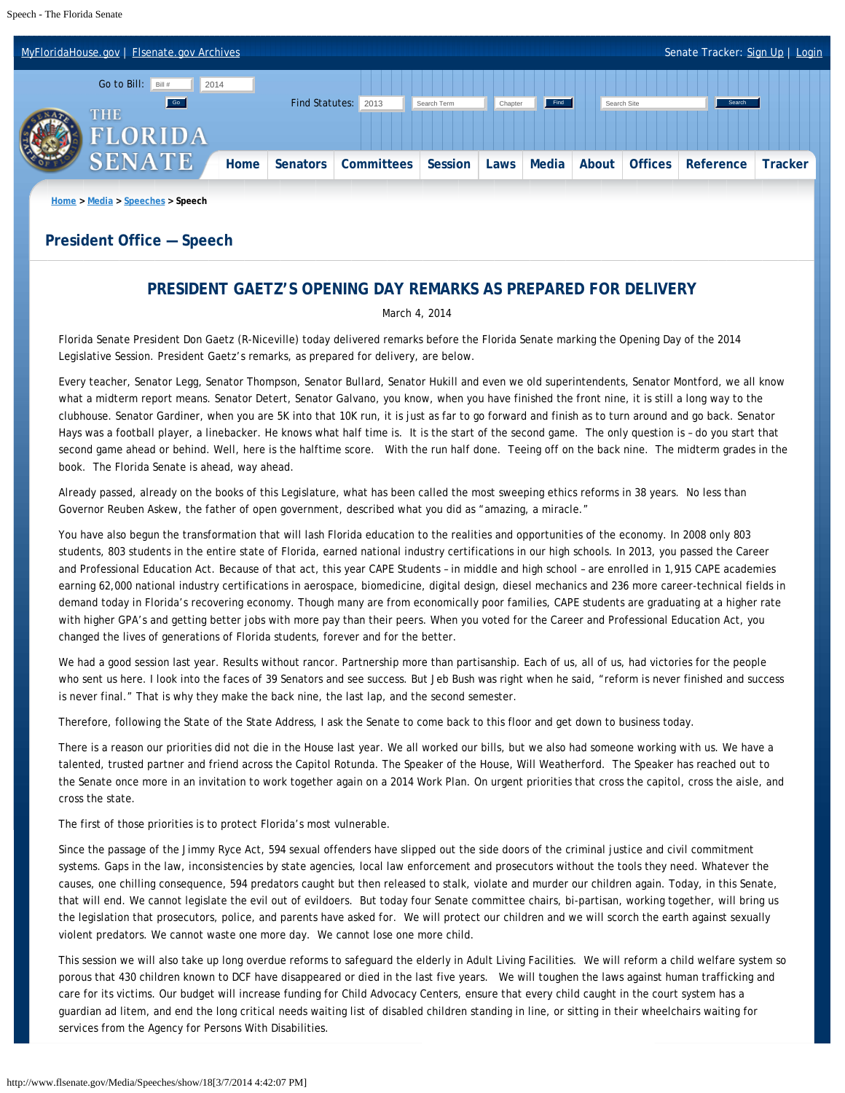

## **President Office — Speech**

## **PRESIDENT GAETZ'S OPENING DAY REMARKS AS PREPARED FOR DELIVERY**

March 4, 2014

Florida Senate President Don Gaetz (R-Niceville) today delivered remarks before the Florida Senate marking the Opening Day of the 2014 Legislative Session. President Gaetz's remarks, as prepared for delivery, are below.

Every teacher, Senator Legg, Senator Thompson, Senator Bullard, Senator Hukill and even we old superintendents, Senator Montford, we all know what a midterm report means. Senator Detert, Senator Galvano, you know, when you have finished the front nine, it is still a long way to the clubhouse. Senator Gardiner, when you are 5K into that 10K run, it is just as far to go forward and finish as to turn around and go back. Senator Hays was a football player, a linebacker. He knows what half time is. It is the start of the second game. The only question is – do you start that second game ahead or behind. Well, here is the halftime score. With the run half done. Teeing off on the back nine. The midterm grades in the book. The Florida Senate is ahead, way ahead.

Already passed, already on the books of this Legislature, what has been called the most sweeping ethics reforms in 38 years. No less than Governor Reuben Askew, the father of open government, described what you did as "amazing, a miracle."

You have also begun the transformation that will lash Florida education to the realities and opportunities of the economy. In 2008 only 803 students, 803 students in the entire state of Florida, earned national industry certifications in our high schools. In 2013, you passed the Career and Professional Education Act. Because of that act, this year CAPE Students – in middle and high school – are enrolled in 1,915 CAPE academies earning 62,000 national industry certifications in aerospace, biomedicine, digital design, diesel mechanics and 236 more career-technical fields in demand today in Florida's recovering economy. Though many are from economically poor families, CAPE students are graduating at a higher rate with higher GPA's and getting better jobs with more pay than their peers. When you voted for the Career and Professional Education Act, you changed the lives of generations of Florida students, forever and for the better.

We had a good session last year. Results without rancor. Partnership more than partisanship. Each of us, all of us, had victories for the people who sent us here. I look into the faces of 39 Senators and see success. But Jeb Bush was right when he said, "reform is never finished and success is never final." That is why they make the back nine, the last lap, and the second semester.

Therefore, following the State of the State Address, I ask the Senate to come back to this floor and get down to business today.

There is a reason our priorities did not die in the House last year. We all worked our bills, but we also had someone working with us. We have a talented, trusted partner and friend across the Capitol Rotunda. The Speaker of the House, Will Weatherford. The Speaker has reached out to the Senate once more in an invitation to work together again on a 2014 Work Plan. On urgent priorities that cross the capitol, cross the aisle, and cross the state.

The first of those priorities is to protect Florida's most vulnerable.

Since the passage of the Jimmy Ryce Act, 594 sexual offenders have slipped out the side doors of the criminal justice and civil commitment systems. Gaps in the law, inconsistencies by state agencies, local law enforcement and prosecutors without the tools they need. Whatever the causes, one chilling consequence, 594 predators caught but then released to stalk, violate and murder our children again. Today, in this Senate, that will end. We cannot legislate the evil out of evildoers. But today four Senate committee chairs, bi-partisan, working together, will bring us the legislation that prosecutors, police, and parents have asked for. We will protect our children and we will scorch the earth against sexually violent predators. We cannot waste one more day. We cannot lose one more child.

This session we will also take up long overdue reforms to safeguard the elderly in Adult Living Facilities. We will reform a child welfare system so porous that 430 children known to DCF have disappeared or died in the last five years. We will toughen the laws against human trafficking and care for its victims. Our budget will increase funding for Child Advocacy Centers, ensure that every child caught in the court system has a guardian ad litem, and end the long critical needs waiting list of disabled children standing in line, or sitting in their wheelchairs waiting for services from the Agency for Persons With Disabilities.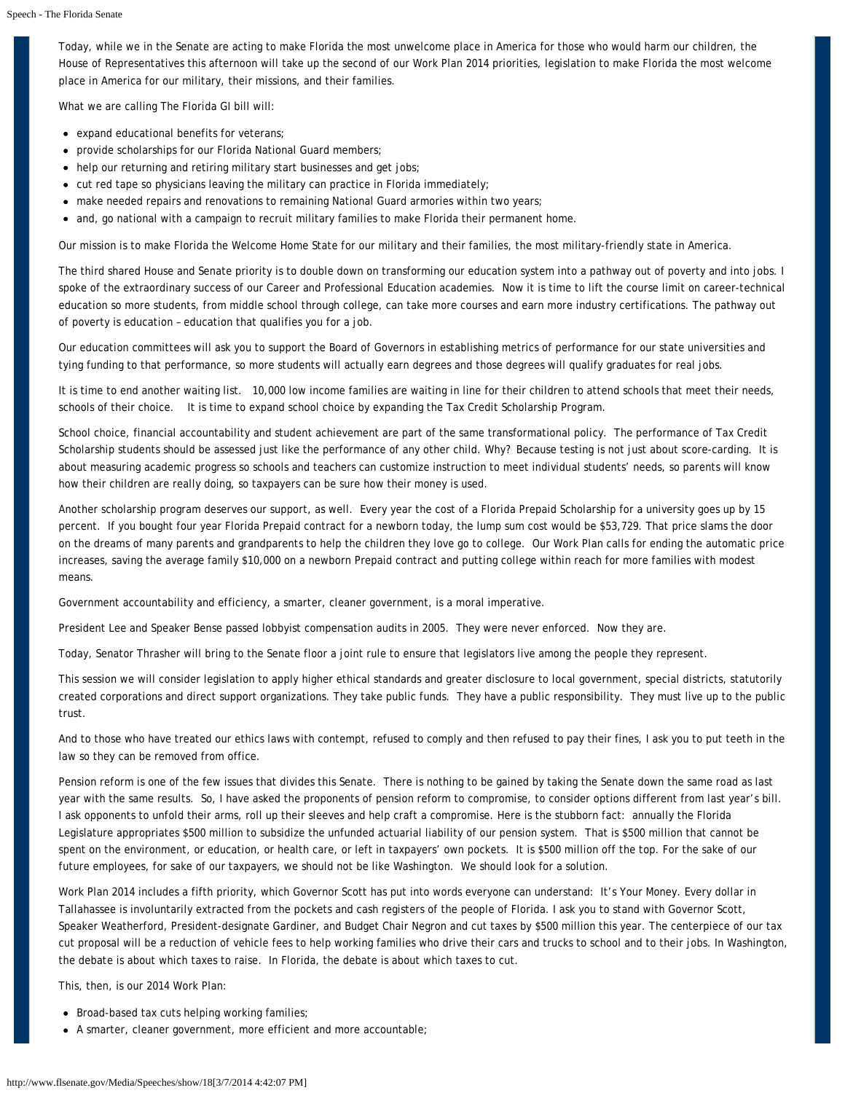Today, while we in the Senate are acting to make Florida the most unwelcome place in America for those who would harm our children, the House of Representatives this afternoon will take up the second of our Work Plan 2014 priorities, legislation to make Florida the most welcome place in America for our military, their missions, and their families.

What we are calling The Florida GI bill will:

- expand educational benefits for veterans;
- provide scholarships for our Florida National Guard members;
- help our returning and retiring military start businesses and get jobs;
- $\bullet$  cut red tape so physicians leaving the military can practice in Florida immediately;
- make needed repairs and renovations to remaining National Guard armories within two years;
- and, go national with a campaign to recruit military families to make Florida their permanent home.

Our mission is to make Florida the Welcome Home State for our military and their families, the most military-friendly state in America.

The third shared House and Senate priority is to double down on transforming our education system into a pathway out of poverty and into jobs. I spoke of the extraordinary success of our Career and Professional Education academies. Now it is time to lift the course limit on career-technical education so more students, from middle school through college, can take more courses and earn more industry certifications. The pathway out of poverty is education – education that qualifies you for a job.

Our education committees will ask you to support the Board of Governors in establishing metrics of performance for our state universities and tying funding to that performance, so more students will actually earn degrees and those degrees will qualify graduates for real jobs.

It is time to end another waiting list. 10,000 low income families are waiting in line for their children to attend schools that meet their needs, schools of their choice. It is time to expand school choice by expanding the Tax Credit Scholarship Program.

School choice, financial accountability and student achievement are part of the same transformational policy. The performance of Tax Credit Scholarship students should be assessed just like the performance of any other child. Why? Because testing is not just about score-carding. It is about measuring academic progress so schools and teachers can customize instruction to meet individual students' needs, so parents will know how their children are really doing, so taxpayers can be sure how their money is used.

Another scholarship program deserves our support, as well. Every year the cost of a Florida Prepaid Scholarship for a university goes up by 15 percent. If you bought four year Florida Prepaid contract for a newborn today, the lump sum cost would be \$53,729. That price slams the door on the dreams of many parents and grandparents to help the children they love go to college. Our Work Plan calls for ending the automatic price increases, saving the average family \$10,000 on a newborn Prepaid contract and putting college within reach for more families with modest means.

Government accountability and efficiency, a smarter, cleaner government, is a moral imperative.

President Lee and Speaker Bense passed lobbyist compensation audits in 2005. They were never enforced. Now they are.

Today, Senator Thrasher will bring to the Senate floor a joint rule to ensure that legislators live among the people they represent.

This session we will consider legislation to apply higher ethical standards and greater disclosure to local government, special districts, statutorily created corporations and direct support organizations. They take public funds. They have a public responsibility. They must live up to the public trust.

And to those who have treated our ethics laws with contempt, refused to comply and then refused to pay their fines, I ask you to put teeth in the law so they can be removed from office.

Pension reform is one of the few issues that divides this Senate. There is nothing to be gained by taking the Senate down the same road as last year with the same results. So, I have asked the proponents of pension reform to compromise, to consider options different from last year's bill. I ask opponents to unfold their arms, roll up their sleeves and help craft a compromise. Here is the stubborn fact: annually the Florida Legislature appropriates \$500 million to subsidize the unfunded actuarial liability of our pension system. That is \$500 million that cannot be spent on the environment, or education, or health care, or left in taxpayers' own pockets. It is \$500 million off the top. For the sake of our future employees, for sake of our taxpayers, we should not be like Washington. We should look for a solution.

Work Plan 2014 includes a fifth priority, which Governor Scott has put into words everyone can understand: It's Your Money. Every dollar in Tallahassee is involuntarily extracted from the pockets and cash registers of the people of Florida. I ask you to stand with Governor Scott, Speaker Weatherford, President-designate Gardiner, and Budget Chair Negron and cut taxes by \$500 million this year. The centerpiece of our tax cut proposal will be a reduction of vehicle fees to help working families who drive their cars and trucks to school and to their jobs. In Washington, the debate is about which taxes to raise. In Florida, the debate is about which taxes to cut.

This, then, is our 2014 Work Plan:

- Broad-based tax cuts helping working families;
- A smarter, cleaner government, more efficient and more accountable;